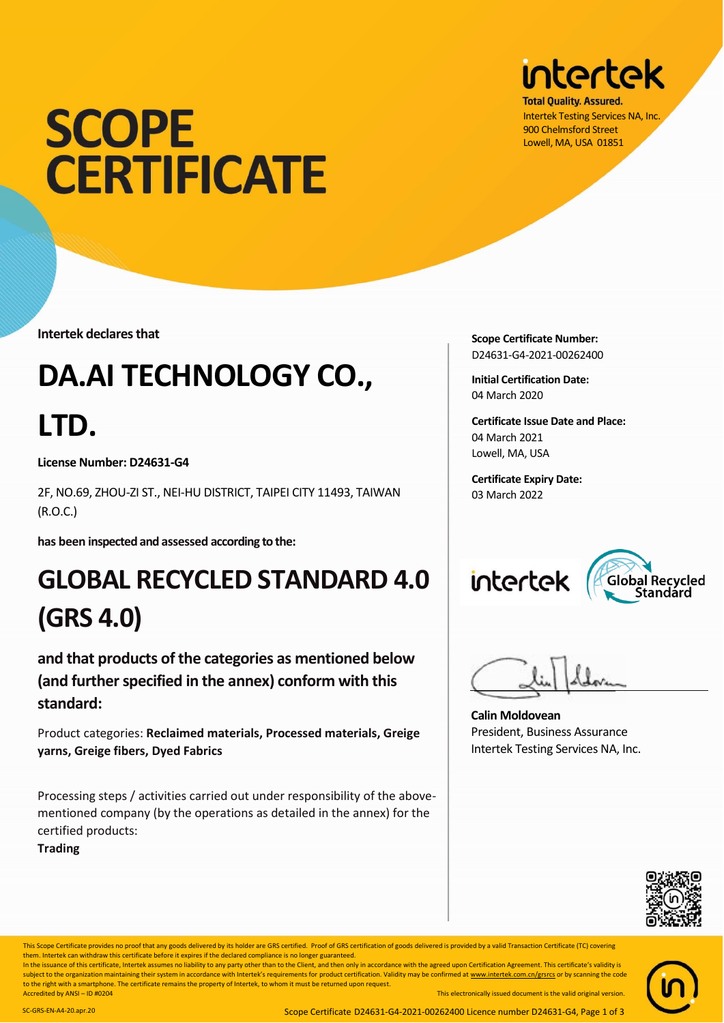# **SCOPE CERTIFICATE**

**Intertek declares that**

# **DA.AI TECHNOLOGY CO.,**

## **LTD.**

**License Number: D24631-G4**

2F, NO.69, ZHOU-ZI ST., NEI-HU DISTRICT, TAIPEI CITY 11493, TAIWAN (R.O.C.)

**has been inspected and assessed according to the:**

### **GLOBAL RECYCLED STANDARD 4.0 (GRS 4.0)**

**and that products of the categories as mentioned below (and further specified in the annex) conform with this standard:**

Product categories: **Reclaimed materials, Processed materials, Greige yarns, Greige fibers, Dyed Fabrics**

Processing steps / activities carried out under responsibility of the abovementioned company (by the operations as detailed in the annex) for the certified products:

**Trading**



**Total Quality, Assured.** Intertek Testing Services NA, Inc. 900 Chelmsford Street Lowell, MA, USA 01851

**Scope Certificate Number:** D24631-G4-2021-00262400

**Initial Certification Date:** 04 March 2020

**Certificate Issue Date and Place:** 04 March 2021 Lowell, MA, USA

**Certificate Expiry Date:** 03 March 2022

## intertek



**Calin Moldovean** President, Business Assurance Intertek Testing Services NA, Inc.



This Scope Certificate provides no proof that any goods delivered by its holder are GRS certified. Proof of GRS certification of goods delivered is provided by a valid Transaction Certificate (TC) covering This electronical version. SC-GRS-EN-LT-20 This electronical version. SC-GRS-EN-LT-20.<br>them. Intertek can withdraw this certificate before it expires if the declared compliance is no longer guaranteed.

This Scope Certificate provides no proof that any goods delivered by its holder are GRS certified. Proof of GRS certification of goods delivered is provided by a valid Transaction In the issuance of this certificate, Intertek assumes no liability to any party other than to the Client, and then only in accordance with the agreed upon Certification Agreement. This

In the issuance of this certificate, Intertek assumes no liability to any party other than to the Client, and then only in accordance with the agreed upon Certification Agreement. This certificate's validity is subject to the organization maintaining their system in accordance with Intertek's requirements for product certification. Validity may be confirmed a[t www.intertek.com.cn/grsrcs](http://www.intertek.com.cn/grsrcs) or by scanning the code to the right with a smartphone. The certificate remains the property of Intertek, to whom it must be returned upon request. Accredited by ANSI – ID #0204 This electronically issued document is the valid original version.

SC-GRS-EN-A4-20.apr.20 Scope Certificate D24631-G4-2021-00262400 Licence number D24631-G4, Page 1 of 3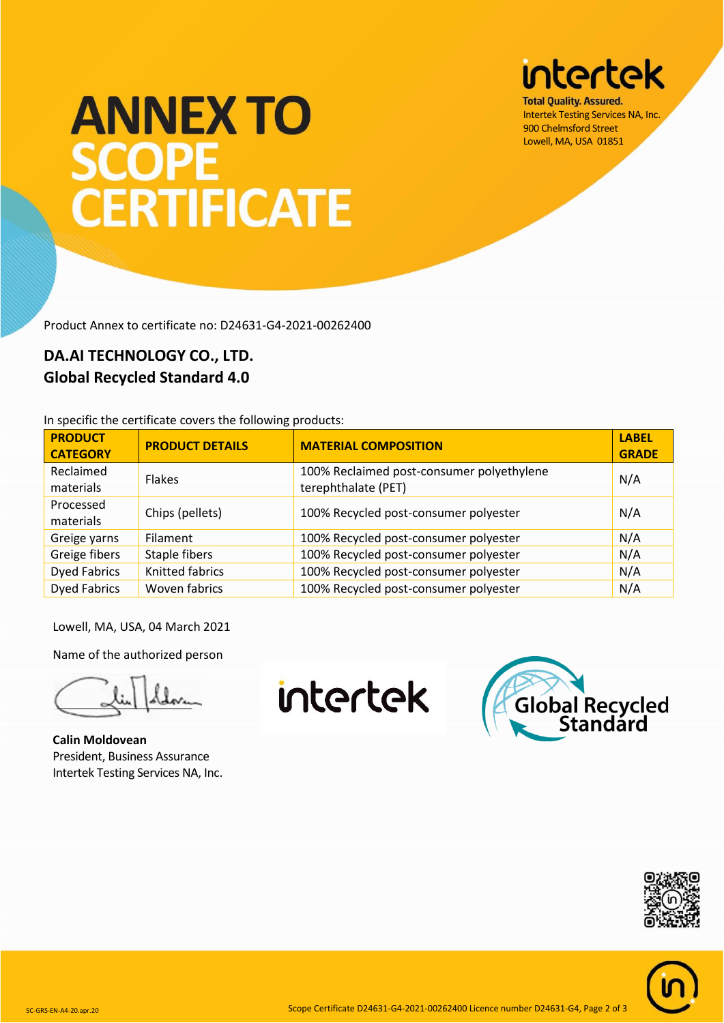# **intertek**

**Total Quality, Assured.** Intertek Testing Services NA, Inc. 900 Chelmsford Street Lowell, MA, USA 01851

# **ANNEX TO SCOPE** CERTIFICATE

Product Annex to certificate no: D24631-G4-2021-00262400

#### **DA.AI TECHNOLOGY CO., LTD. Global Recycled Standard 4.0**

In specific the certificate covers the following products:

| <b>PRODUCT</b><br><b>CATEGORY</b> | <b>PRODUCT DETAILS</b> | <b>MATERIAL COMPOSITION</b>                                      | <b>LABEL</b><br><b>GRADE</b> |
|-----------------------------------|------------------------|------------------------------------------------------------------|------------------------------|
| Reclaimed<br>materials            | <b>Flakes</b>          | 100% Reclaimed post-consumer polyethylene<br>terephthalate (PET) | N/A                          |
| Processed<br>materials            | Chips (pellets)        | 100% Recycled post-consumer polyester                            | N/A                          |
| Greige yarns                      | Filament               | 100% Recycled post-consumer polyester                            | N/A                          |
| Greige fibers                     | Staple fibers          | 100% Recycled post-consumer polyester                            | N/A                          |
| <b>Dyed Fabrics</b>               | <b>Knitted fabrics</b> | 100% Recycled post-consumer polyester                            | N/A                          |
| <b>Dyed Fabrics</b>               | Woven fabrics          | 100% Recycled post-consumer polyester                            | N/A                          |

Lowell, MA, USA, 04 March 2021

Name of the authorized person

**Calin Moldovean** President, Business Assurance Intertek Testing Services NA, Inc.

intertek